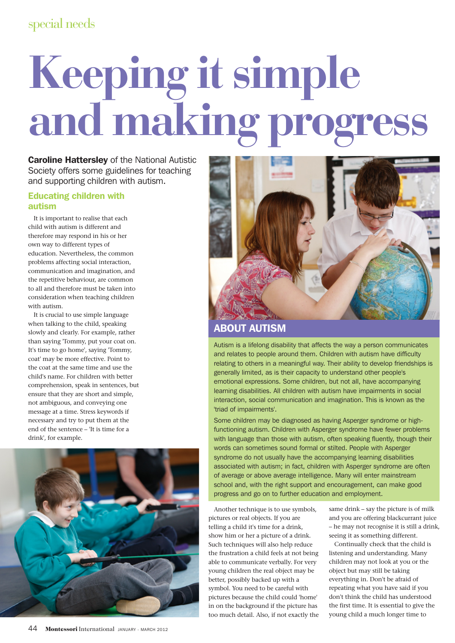# special needs

# **Keeping it simple and making progress**

**Caroline Hattersley** of the National Autistic Society offers some guidelines for teaching and supporting children with autism.

### Educating children with autism

It is important to realise that each child with autism is different and therefore may respond in his or her own way to different types of education. Nevertheless, the common problems affecting social interaction, communication and imagination, and the repetitive behaviour, are common to all and therefore must be taken into consideration when teaching children with autism.

It is crucial to use simple language when talking to the child, speaking slowly and clearly. For example, rather than saying 'Tommy, put your coat on. It's time to go home', saying 'Tommy, coat' may be more effective. Point to the coat at the same time and use the child's name. For children with better comprehension, speak in sentences, but ensure that they are short and simple, not ambiguous, and conveying one message at a time. Stress keywords if necessary and try to put them at the end of the sentence – 'It is time for a drink', for example.





# ABOUT AUTISM

Autism is a lifelong disability that affects the way a person communicates and relates to people around them. Children with autism have difficulty relating to others in a meaningful way. Their ability to develop friendships is generally limited, as is their capacity to understand other people's emotional expressions. Some children, but not all, have accompanying learning disabilities. All children with autism have impairments in social interaction, social communication and imagination. This is known as the 'triad of impairments'.

Some children may be diagnosed as having Asperger syndrome or highfunctioning autism. Children with Asperger syndrome have fewer problems with language than those with autism, often speaking fluently, though their words can sometimes sound formal or stilted. People with Asperger syndrome do not usually have the accompanying learning disabilities associated with autism; in fact, children with Asperger syndrome are often of average or above average intelligence. Many will enter mainstream school and, with the right support and encouragement, can make good progress and go on to further education and employment.

Another technique is to use symbols, pictures or real objects. If you are telling a child it's time for a drink, show him or her a picture of a drink. Such techniques will also help reduce the frustration a child feels at not being able to communicate verbally. For very young children the real object may be better, possibly backed up with a symbol. You need to be careful with pictures because the child could 'home' in on the background if the picture has too much detail. Also, if not exactly the same drink – say the picture is of milk and you are offering blackcurrant juice – he may not recognise it is still a drink, seeing it as something different.

Continually check that the child is listening and understanding. Many children may not look at you or the object but may still be taking everything in. Don't be afraid of repeating what you have said if you don't think the child has understood the first time. It is essential to give the young child a much longer time to